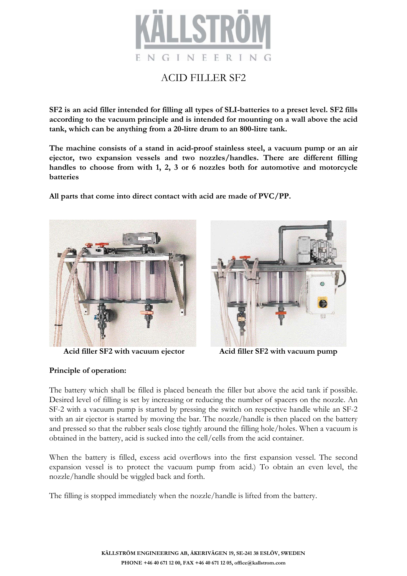

## ACID FILLER SF2

**SF2 is an acid filler intended for filling all types of SLI-batteries to a preset level. SF2 fills according to the vacuum principle and is intended for mounting on a wall above the acid tank, which can be anything from a 20-litre drum to an 800-litre tank.**

**The machine consists of a stand in acid-proof stainless steel, a vacuum pump or an air ejector, two expansion vessels and two nozzles/handles. There are different filling handles to choose from with 1, 2, 3 or 6 nozzles both for automotive and motorcycle batteries**

**All parts that come into direct contact with acid are made of PVC/PP.**



 **Acid filler SF2 with vacuum ejector Acid filler SF2 with vacuum pump** 



### **Principle of operation:**

The battery which shall be filled is placed beneath the filler but above the acid tank if possible. Desired level of filling is set by increasing or reducing the number of spacers on the nozzle. An SF-2 with a vacuum pump is started by pressing the switch on respective handle while an SF-2 with an air ejector is started by moving the bar. The nozzle/handle is then placed on the battery and pressed so that the rubber seals close tightly around the filling hole/holes. When a vacuum is obtained in the battery, acid is sucked into the cell/cells from the acid container.

When the battery is filled, excess acid overflows into the first expansion vessel. The second expansion vessel is to protect the vacuum pump from acid.) To obtain an even level, the nozzle/handle should be wiggled back and forth.

The filling is stopped immediately when the nozzle/handle is lifted from the battery.